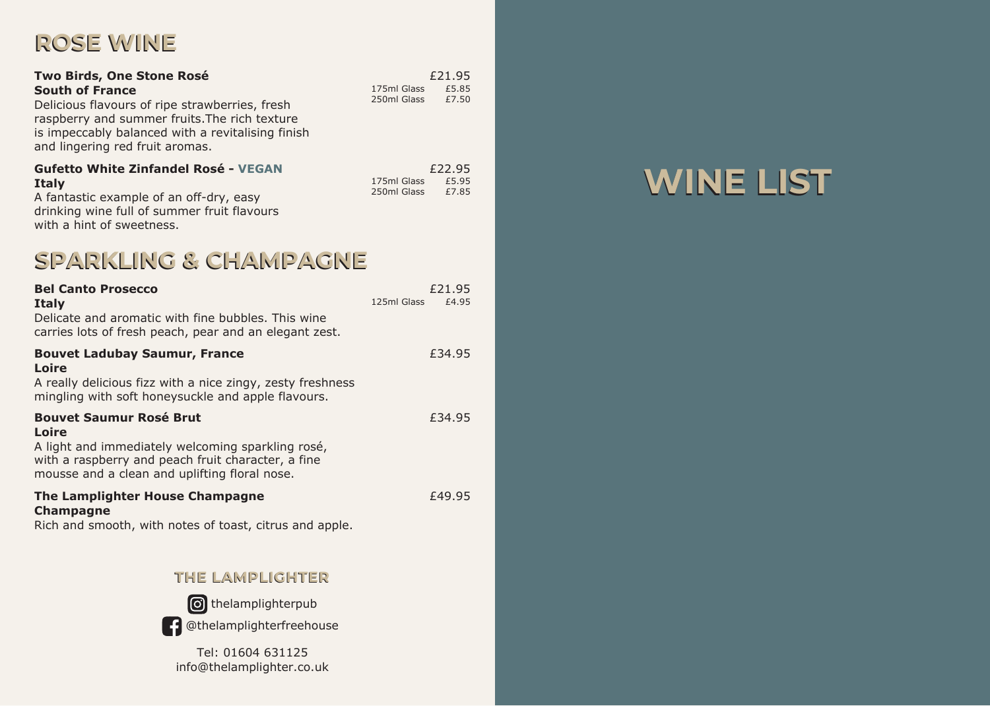# **ROSE WINE ROSE WINE**

| Two Birds, One Stone Rosé<br><b>South of France</b><br>Delicious flavours of ripe strawberries, fresh<br>raspberry and summer fruits. The rich texture<br>is impeccably balanced with a revitalising finish<br>and lingering red fruit aromas. | 175ml Glass<br>250ml Glass | £21.95<br>£5.85<br>£7.50 |
|------------------------------------------------------------------------------------------------------------------------------------------------------------------------------------------------------------------------------------------------|----------------------------|--------------------------|
| <b>Gufetto White Zinfandel Rosé - VEGAN</b><br><b>Italy</b><br>A fantastic example of an off-dry, easy<br>drinking wine full of summer fruit flavours<br>with a hint of sweetness.                                                             | 175ml Glass<br>250ml Glass | £22.95<br>£5.95<br>£7.85 |

### **SPARKLING & CHAMPAGNE SPARKLING & CHAMPAGNE**

| <b>Bel Canto Prosecco</b><br><b>Italy</b><br>Delicate and aromatic with fine bubbles. This wine<br>carries lots of fresh peach, pear and an elegant zest.                                           | £21.95<br>125ml Glass<br>£4.95 |
|-----------------------------------------------------------------------------------------------------------------------------------------------------------------------------------------------------|--------------------------------|
| <b>Bouvet Ladubay Saumur, France</b><br>Loire<br>A really delicious fizz with a nice zingy, zesty freshness<br>mingling with soft honeysuckle and apple flavours.                                   | £34.95                         |
| <b>Bouvet Saumur Rosé Brut</b><br>Loire<br>A light and immediately welcoming sparkling rosé,<br>with a raspberry and peach fruit character, a fine<br>mousse and a clean and uplifting floral nose. | £34.95                         |
| The Lamplighter House Champagne<br><b>Champagne</b><br>Rich and smooth, with notes of toast, citrus and apple.                                                                                      | £49.95                         |
| THE LAMPLIGHTER                                                                                                                                                                                     |                                |



**O** thelamplighterpub

**Co**thelamplighterfreehouse

info@thelamplighter.co.uk Tel: 01604 631125

# **WINE LIST WINE LIST**